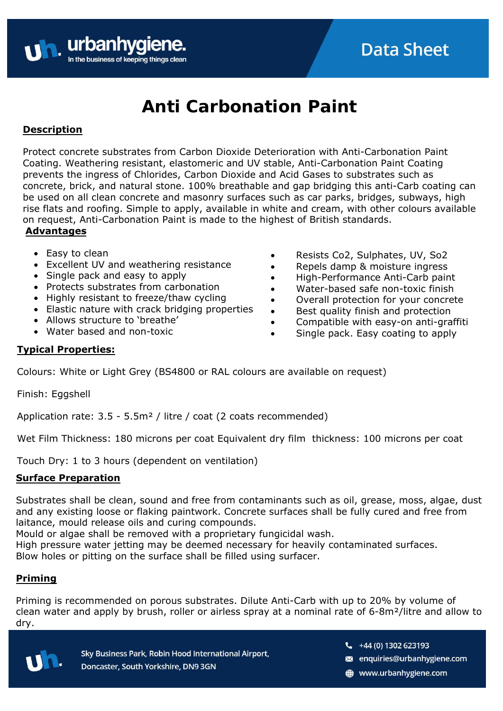

# **Anti Carbonation Paint**

# **Description**

Protect concrete substrates from Carbon Dioxide Deterioration with Anti-Carbonation Paint Coating. Weathering resistant, elastomeric and UV stable, Anti-Carbonation Paint Coating prevents the ingress of Chlorides, Carbon Dioxide and Acid Gases to substrates such as concrete, brick, and natural stone. 100% breathable and gap bridging this anti-Carb coating can be used on all clean concrete and masonry surfaces such as car parks, bridges, subways, high rise flats and roofing. Simple to apply, available in white and cream, with other colours available on request, Anti-Carbonation Paint is made to the highest of British standards. **Advantages**

- Easy to clean
- Excellent UV and weathering resistance
- Single pack and easy to apply
- Protects substrates from carbonation
- Highly resistant to freeze/thaw cycling
- Elastic nature with crack bridging properties
- Allows structure to 'breathe'
- Water based and non-toxic
- Resists Co2, Sulphates, UV, So2
- Repels damp & moisture ingress
- High-Performance Anti-Carb paint
- Water-based safe non-toxic finish
- Overall protection for your concrete
- Best quality finish and protection
- Compatible with easy-on anti-graffiti
- Single pack. Easy coating to apply

## **Typical Properties:**

Colours: White or Light Grey (BS4800 or RAL colours are available on request)

Finish: Eggshell

Application rate: 3.5 - 5.5m<sup>2</sup> / litre / coat (2 coats recommended)

Wet Film Thickness: 180 microns per coat Equivalent dry film thickness: 100 microns per coat

Touch Dry: 1 to 3 hours (dependent on ventilation)

## **Surface Preparation**

Substrates shall be clean, sound and free from contaminants such as oil, grease, moss, algae, dust and any existing loose or flaking paintwork. Concrete surfaces shall be fully cured and free from laitance, mould release oils and curing compounds.

Mould or algae shall be removed with a proprietary fungicidal wash.

High pressure water jetting may be deemed necessary for heavily contaminated surfaces.

Blow holes or pitting on the surface shall be filled using surfacer.

# **Priming**

Priming is recommended on porous substrates. Dilute Anti-Carb with up to 20% by volume of clean water and apply by brush, roller or airless spray at a nominal rate of 6-8m²/litre and allow to dry.



Sky Business Park, Robin Hood International Airport, Doncaster, South Yorkshire, DN9 3GN

- $\frac{1}{2}$  +44 (0) 1302 623193
- s enquiries@urbanhygiene.com
- www.urbanhygiene.com